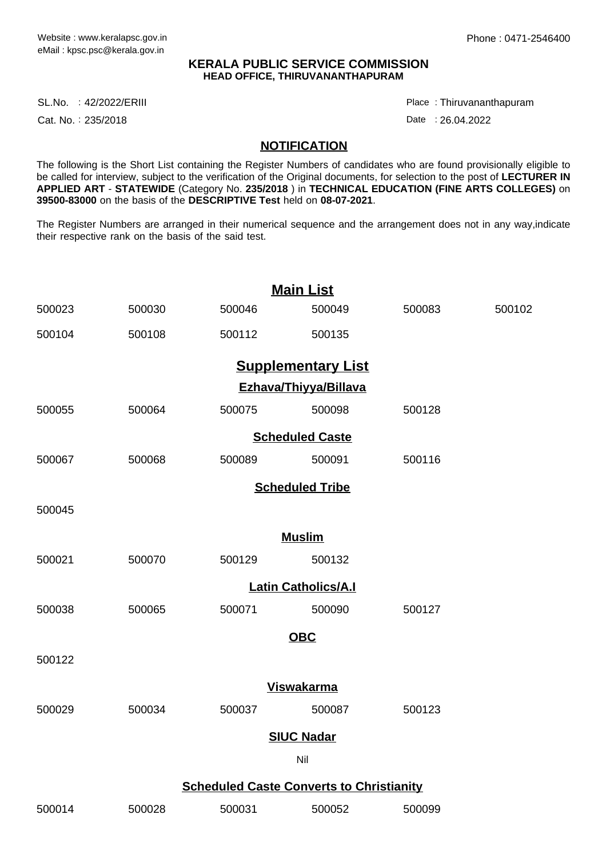## **KERALA PUBLIC SERVICE COMMISSION HEAD OFFICE, THIRUVANANTHAPURAM**

SL.No. :42/2022/ERIII Place

Cat. No.: 235/2018

Thiruvananthapuram :

Date : 26.04.2022

## **NOTIFICATION**

The following is the Short List containing the Register Numbers of candidates who are found provisionally eligible to be called for interview, subject to the verification of the Original documents, for selection to the post of **LECTURER IN APPLIED ART** - **STATEWIDE** (Category No. **235/2018** ) in **TECHNICAL EDUCATION (FINE ARTS COLLEGES)** on **39500-83000** on the basis of the **DESCRIPTIVE Test** held on **08-07-2021**.

The Register Numbers are arranged in their numerical sequence and the arrangement does not in any way,indicate their respective rank on the basis of the said test.

| <b>Main List</b>                                |        |        |        |        |        |
|-------------------------------------------------|--------|--------|--------|--------|--------|
| 500023                                          | 500030 | 500046 | 500049 | 500083 | 500102 |
| 500104                                          | 500108 | 500112 | 500135 |        |        |
| <b>Supplementary List</b>                       |        |        |        |        |        |
| Ezhava/Thiyya/Billava                           |        |        |        |        |        |
| 500055                                          | 500064 | 500075 | 500098 | 500128 |        |
| <b>Scheduled Caste</b>                          |        |        |        |        |        |
| 500067                                          | 500068 | 500089 | 500091 | 500116 |        |
| <b>Scheduled Tribe</b>                          |        |        |        |        |        |
| 500045                                          |        |        |        |        |        |
| <b>Muslim</b>                                   |        |        |        |        |        |
| 500021                                          | 500070 | 500129 | 500132 |        |        |
| <b>Latin Catholics/A.I</b>                      |        |        |        |        |        |
| 500038                                          | 500065 | 500071 | 500090 | 500127 |        |
| <b>OBC</b>                                      |        |        |        |        |        |
| 500122                                          |        |        |        |        |        |
| <b>Viswakarma</b>                               |        |        |        |        |        |
| 500029                                          | 500034 | 500037 | 500087 | 500123 |        |
| <b>SIUC Nadar</b>                               |        |        |        |        |        |
| Nil                                             |        |        |        |        |        |
| <b>Scheduled Caste Converts to Christianity</b> |        |        |        |        |        |
| 500014                                          | 500028 | 500031 | 500052 | 500099 |        |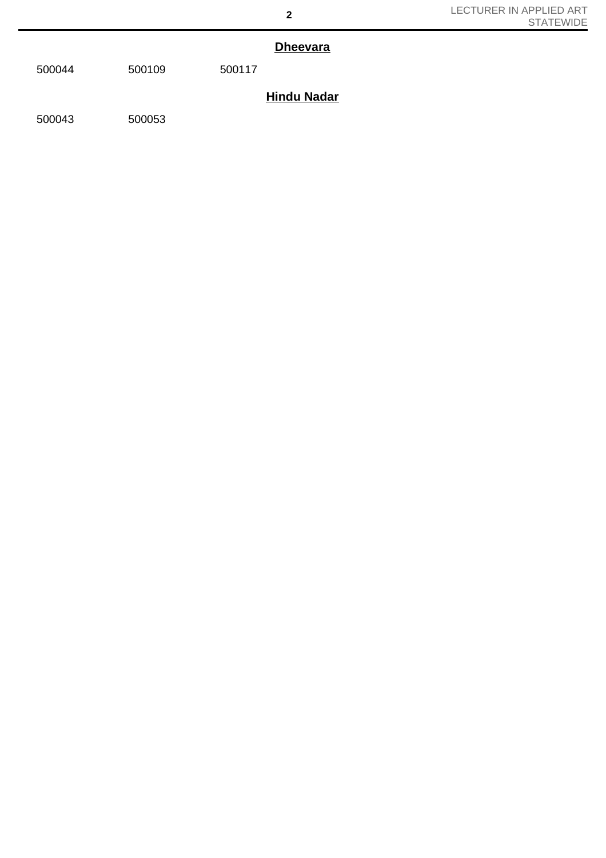## **Dheevara**

500044 500109 500117

## **Hindu Nadar**

500043 500053